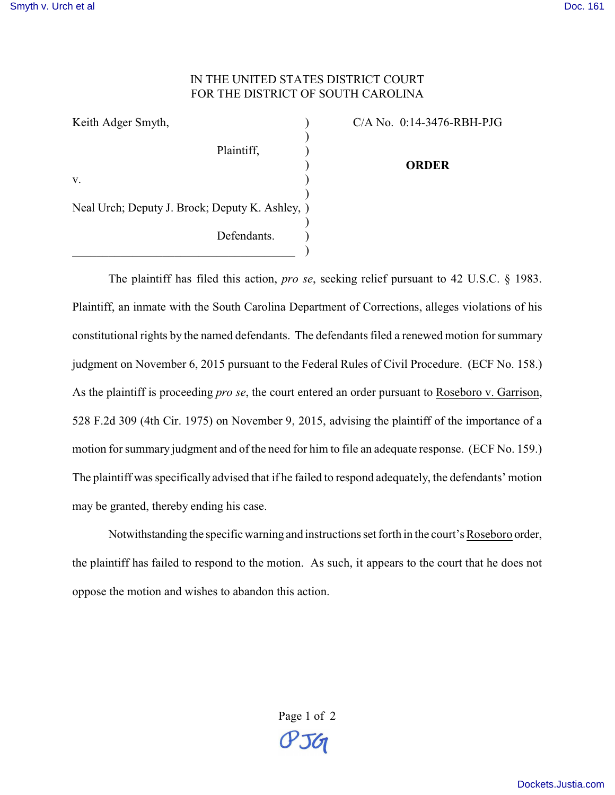## IN THE UNITED STATES DISTRICT COURT FOR THE DISTRICT OF SOUTH CAROLINA

| Keith Adger Smyth,                              |  |
|-------------------------------------------------|--|
|                                                 |  |
| Plaintiff,                                      |  |
|                                                 |  |
| V.                                              |  |
|                                                 |  |
| Neal Urch; Deputy J. Brock; Deputy K. Ashley, ) |  |
|                                                 |  |
| Defendants.                                     |  |
|                                                 |  |

C/A No. 0:14-3476-RBH-PJG **ORDER**

The plaintiff has filed this action, *pro se*, seeking relief pursuant to 42 U.S.C. § 1983. Plaintiff, an inmate with the South Carolina Department of Corrections, alleges violations of his constitutional rights by the named defendants. The defendants filed a renewed motion for summary judgment on November 6, 2015 pursuant to the Federal Rules of Civil Procedure. (ECF No. 158.) As the plaintiff is proceeding *pro se*, the court entered an order pursuant to Roseboro v. Garrison, 528 F.2d 309 (4th Cir. 1975) on November 9, 2015, advising the plaintiff of the importance of a motion for summary judgment and of the need for him to file an adequate response. (ECF No. 159.) The plaintiff was specifically advised that if he failed to respond adequately, the defendants' motion may be granted, thereby ending his case.

Notwithstanding the specific warning and instructions set forth in the court's Roseboro order, the plaintiff has failed to respond to the motion. As such, it appears to the court that he does not oppose the motion and wishes to abandon this action.